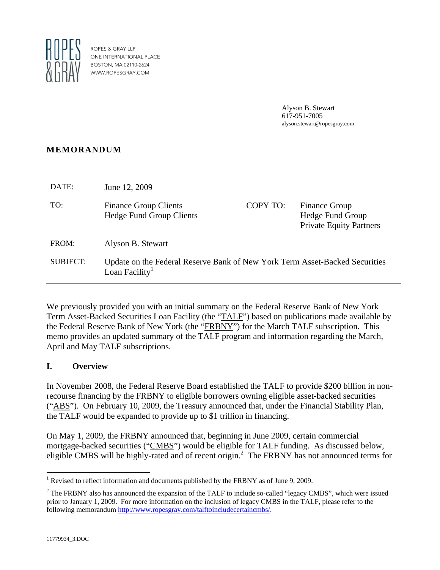

ROPES & GRAY LLP ONE INTERNATIONAL PLACE BOSTON, MA 02110-2624 WWW.ROPESGRAY.COM

> Alyson B. Stewart 617-951-7005 alyson.stewart@ropesgray.com

## **MEMORANDUM**

| DATE:    | June 12, 2009                                                                                             |          |                                                                            |
|----------|-----------------------------------------------------------------------------------------------------------|----------|----------------------------------------------------------------------------|
| TO:      | <b>Finance Group Clients</b><br><b>Hedge Fund Group Clients</b>                                           | COPY TO: | <b>Finance Group</b><br>Hedge Fund Group<br><b>Private Equity Partners</b> |
| FROM:    | Alyson B. Stewart                                                                                         |          |                                                                            |
| SUBJECT: | Update on the Federal Reserve Bank of New York Term Asset-Backed Securities<br>Loan Facility <sup>1</sup> |          |                                                                            |

We previously provided you with an initial summary on the Federal Reserve Bank of New York Term Asset-Backed Securities Loan Facility (the "TALF") based on publications made available by the Federal Reserve Bank of New York (the "FRBNY") for the March TALF subscription. This memo provides an updated summary of the TALF program and information regarding the March, April and May TALF subscriptions.

## **I. Overview**

In November 2008, the Federal Reserve Board established the TALF to provide \$200 billion in nonrecourse financing by the FRBNY to eligible borrowers owning eligible asset-backed securities ("ABS"). On February 10, 2009, the Treasury announced that, under the Financial Stability Plan, the TALF would be expanded to provide up to \$1 trillion in financing.

On May 1, 2009, the FRBNY announced that, beginning in June 2009, certain commercial mortgage-backed securities ("CMBS") would be eligible for TALF funding. As discussed below, eligible CMBS will be highly-rated and of recent origin.<sup>2</sup> The FRBNY has not announced terms for

 $\overline{a}$ <sup>1</sup> Revised to reflect information and documents published by the FRBNY as of June 9, 2009.

 $2^2$  The FRBNY also has announced the expansion of the TALF to include so-called "legacy CMBS", which were issued prior to January 1, 2009. For more information on the inclusion of legacy CMBS in the TALF, please refer to the following memorandum http://www.ropesgray.com/talftoincludecertaincmbs/.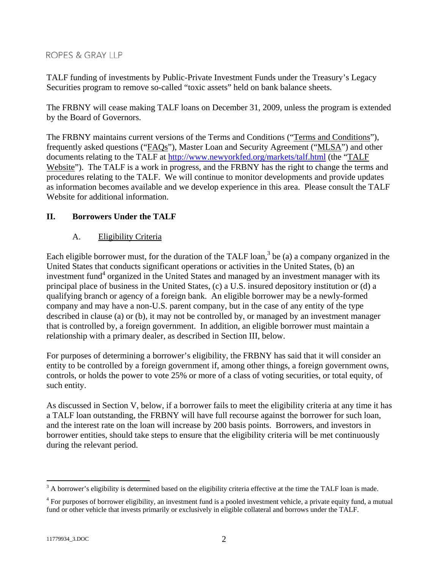TALF funding of investments by Public-Private Investment Funds under the Treasury's Legacy Securities program to remove so-called "toxic assets" held on bank balance sheets.

The FRBNY will cease making TALF loans on December 31, 2009, unless the program is extended by the Board of Governors.

The FRBNY maintains current versions of the Terms and Conditions ("Terms and Conditions"), frequently asked questions ("FAQs"), Master Loan and Security Agreement ("MLSA") and other documents relating to the TALF at http://www.newyorkfed.org/markets/talf.html (the "TALF Website"). The TALF is a work in progress, and the FRBNY has the right to change the terms and procedures relating to the TALF. We will continue to monitor developments and provide updates as information becomes available and we develop experience in this area. Please consult the TALF Website for additional information.

## **II. Borrowers Under the TALF**

## A. Eligibility Criteria

Each eligible borrower must, for the duration of the TALF loan,<sup>3</sup> be (a) a company organized in the United States that conducts significant operations or activities in the United States, (b) an investment fund<sup>4</sup> organized in the United States and managed by an investment manager with its principal place of business in the United States, (c) a U.S. insured depository institution or (d) a qualifying branch or agency of a foreign bank. An eligible borrower may be a newly-formed company and may have a non-U.S. parent company, but in the case of any entity of the type described in clause (a) or (b), it may not be controlled by, or managed by an investment manager that is controlled by, a foreign government. In addition, an eligible borrower must maintain a relationship with a primary dealer, as described in Section III, below.

For purposes of determining a borrower's eligibility, the FRBNY has said that it will consider an entity to be controlled by a foreign government if, among other things, a foreign government owns, controls, or holds the power to vote 25% or more of a class of voting securities, or total equity, of such entity.

As discussed in Section V, below, if a borrower fails to meet the eligibility criteria at any time it has a TALF loan outstanding, the FRBNY will have full recourse against the borrower for such loan, and the interest rate on the loan will increase by 200 basis points. Borrowers, and investors in borrower entities, should take steps to ensure that the eligibility criteria will be met continuously during the relevant period.

<sup>&</sup>lt;sup>3</sup> A borrower's eligibility is determined based on the eligibility criteria effective at the time the TALF loan is made.

<sup>&</sup>lt;sup>4</sup> For purposes of borrower eligibility, an investment fund is a pooled investment vehicle, a private equity fund, a mutual fund or other vehicle that invests primarily or exclusively in eligible collateral and borrows under the TALF.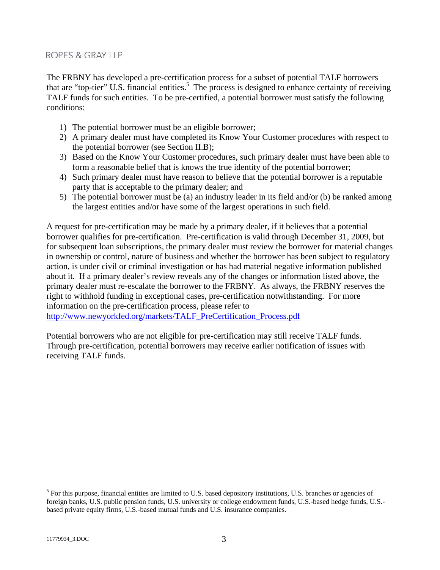The FRBNY has developed a pre-certification process for a subset of potential TALF borrowers that are "top-tier" U.S. financial entities.<sup>5</sup> The process is designed to enhance certainty of receiving TALF funds for such entities. To be pre-certified, a potential borrower must satisfy the following conditions:

- 1) The potential borrower must be an eligible borrower;
- 2) A primary dealer must have completed its Know Your Customer procedures with respect to the potential borrower (see Section II.B);
- 3) Based on the Know Your Customer procedures, such primary dealer must have been able to form a reasonable belief that is knows the true identity of the potential borrower;
- 4) Such primary dealer must have reason to believe that the potential borrower is a reputable party that is acceptable to the primary dealer; and
- 5) The potential borrower must be (a) an industry leader in its field and/or (b) be ranked among the largest entities and/or have some of the largest operations in such field.

A request for pre-certification may be made by a primary dealer, if it believes that a potential borrower qualifies for pre-certification. Pre-certification is valid through December 31, 2009, but for subsequent loan subscriptions, the primary dealer must review the borrower for material changes in ownership or control, nature of business and whether the borrower has been subject to regulatory action, is under civil or criminal investigation or has had material negative information published about it. If a primary dealer's review reveals any of the changes or information listed above, the primary dealer must re-escalate the borrower to the FRBNY. As always, the FRBNY reserves the right to withhold funding in exceptional cases, pre-certification notwithstanding. For more information on the pre-certification process, please refer to

http://www.newyorkfed.org/markets/TALF\_PreCertification\_Process.pdf

Potential borrowers who are not eligible for pre-certification may still receive TALF funds. Through pre-certification, potential borrowers may receive earlier notification of issues with receiving TALF funds.

<sup>&</sup>lt;sup>5</sup> For this purpose, financial entities are limited to U.S. based depository institutions, U.S. branches or agencies of foreign banks, U.S. public pension funds, U.S. university or college endowment funds, U.S.-based hedge funds, U.S. based private equity firms, U.S.-based mutual funds and U.S. insurance companies.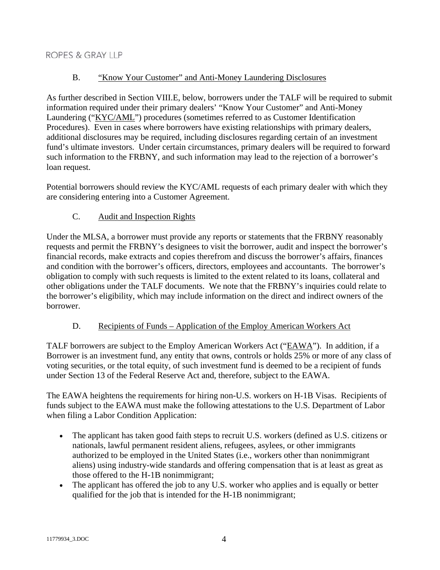## B. "Know Your Customer" and Anti-Money Laundering Disclosures

As further described in Section VIII.E, below, borrowers under the TALF will be required to submit information required under their primary dealers' "Know Your Customer" and Anti-Money Laundering ("KYC/AML") procedures (sometimes referred to as Customer Identification Procedures). Even in cases where borrowers have existing relationships with primary dealers, additional disclosures may be required, including disclosures regarding certain of an investment fund's ultimate investors. Under certain circumstances, primary dealers will be required to forward such information to the FRBNY, and such information may lead to the rejection of a borrower's loan request.

Potential borrowers should review the KYC/AML requests of each primary dealer with which they are considering entering into a Customer Agreement.

## C. Audit and Inspection Rights

Under the MLSA, a borrower must provide any reports or statements that the FRBNY reasonably requests and permit the FRBNY's designees to visit the borrower, audit and inspect the borrower's financial records, make extracts and copies therefrom and discuss the borrower's affairs, finances and condition with the borrower's officers, directors, employees and accountants. The borrower's obligation to comply with such requests is limited to the extent related to its loans, collateral and other obligations under the TALF documents. We note that the FRBNY's inquiries could relate to the borrower's eligibility, which may include information on the direct and indirect owners of the borrower.

## D. Recipients of Funds – Application of the Employ American Workers Act

TALF borrowers are subject to the Employ American Workers Act ("EAWA"). In addition, if a Borrower is an investment fund, any entity that owns, controls or holds 25% or more of any class of voting securities, or the total equity, of such investment fund is deemed to be a recipient of funds under Section 13 of the Federal Reserve Act and, therefore, subject to the EAWA.

The EAWA heightens the requirements for hiring non-U.S. workers on H-1B Visas. Recipients of funds subject to the EAWA must make the following attestations to the U.S. Department of Labor when filing a Labor Condition Application:

- The applicant has taken good faith steps to recruit U.S. workers (defined as U.S. citizens or nationals, lawful permanent resident aliens, refugees, asylees, or other immigrants authorized to be employed in the United States (i.e., workers other than nonimmigrant aliens) using industry-wide standards and offering compensation that is at least as great as those offered to the H-1B nonimmigrant;
- The applicant has offered the job to any U.S. worker who applies and is equally or better qualified for the job that is intended for the H-1B nonimmigrant;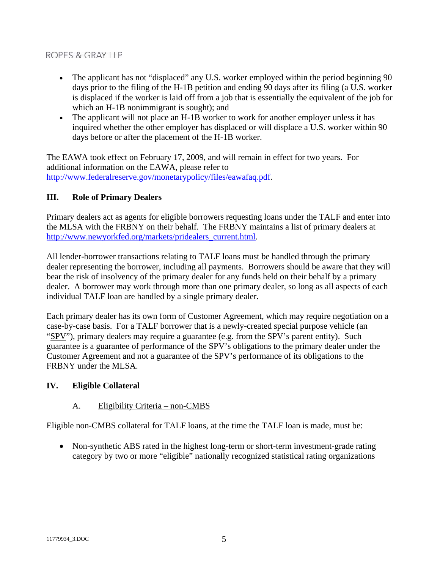- The applicant has not "displaced" any U.S. worker employed within the period beginning 90 days prior to the filing of the H-1B petition and ending 90 days after its filing (a U.S. worker is displaced if the worker is laid off from a job that is essentially the equivalent of the job for which an H-1B nonimmigrant is sought); and
- The applicant will not place an H-1B worker to work for another employer unless it has inquired whether the other employer has displaced or will displace a U.S. worker within 90 days before or after the placement of the H-1B worker.

The EAWA took effect on February 17, 2009, and will remain in effect for two years. For additional information on the EAWA, please refer to http://www.federalreserve.gov/monetarypolicy/files/eawafaq.pdf.

## **III. Role of Primary Dealers**

Primary dealers act as agents for eligible borrowers requesting loans under the TALF and enter into the MLSA with the FRBNY on their behalf. The FRBNY maintains a list of primary dealers at http://www.newyorkfed.org/markets/pridealers\_current.html.

All lender-borrower transactions relating to TALF loans must be handled through the primary dealer representing the borrower, including all payments. Borrowers should be aware that they will bear the risk of insolvency of the primary dealer for any funds held on their behalf by a primary dealer. A borrower may work through more than one primary dealer, so long as all aspects of each individual TALF loan are handled by a single primary dealer.

Each primary dealer has its own form of Customer Agreement, which may require negotiation on a case-by-case basis. For a TALF borrower that is a newly-created special purpose vehicle (an "SPV"), primary dealers may require a guarantee (e.g. from the SPV's parent entity). Such guarantee is a guarantee of performance of the SPV's obligations to the primary dealer under the Customer Agreement and not a guarantee of the SPV's performance of its obligations to the FRBNY under the MLSA.

## **IV. Eligible Collateral**

## A. Eligibility Criteria – non-CMBS

Eligible non-CMBS collateral for TALF loans, at the time the TALF loan is made, must be:

• Non-synthetic ABS rated in the highest long-term or short-term investment-grade rating category by two or more "eligible" nationally recognized statistical rating organizations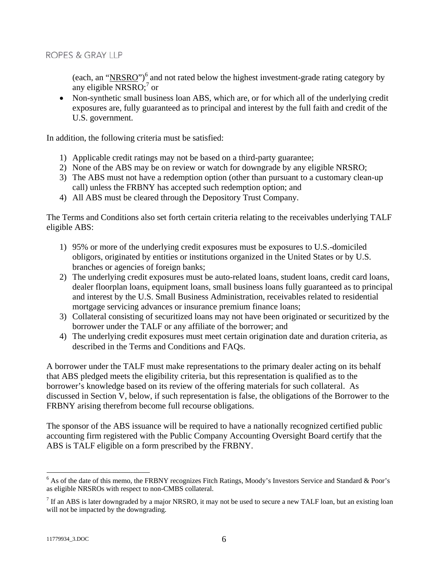(each, an "NRSRO")<sup>6</sup> and not rated below the highest investment-grade rating category by any eligible NRSRO; $<sup>7</sup>$  or</sup>

• Non-synthetic small business loan ABS, which are, or for which all of the underlying credit exposures are, fully guaranteed as to principal and interest by the full faith and credit of the U.S. government.

In addition, the following criteria must be satisfied:

- 1) Applicable credit ratings may not be based on a third-party guarantee;
- 2) None of the ABS may be on review or watch for downgrade by any eligible NRSRO;
- 3) The ABS must not have a redemption option (other than pursuant to a customary clean-up call) unless the FRBNY has accepted such redemption option; and
- 4) All ABS must be cleared through the Depository Trust Company.

The Terms and Conditions also set forth certain criteria relating to the receivables underlying TALF eligible ABS:

- 1) 95% or more of the underlying credit exposures must be exposures to U.S.-domiciled obligors, originated by entities or institutions organized in the United States or by U.S. branches or agencies of foreign banks;
- 2) The underlying credit exposures must be auto-related loans, student loans, credit card loans, dealer floorplan loans, equipment loans, small business loans fully guaranteed as to principal and interest by the U.S. Small Business Administration, receivables related to residential mortgage servicing advances or insurance premium finance loans;
- 3) Collateral consisting of securitized loans may not have been originated or securitized by the borrower under the TALF or any affiliate of the borrower; and
- 4) The underlying credit exposures must meet certain origination date and duration criteria, as described in the Terms and Conditions and FAQs.

A borrower under the TALF must make representations to the primary dealer acting on its behalf that ABS pledged meets the eligibility criteria, but this representation is qualified as to the borrower's knowledge based on its review of the offering materials for such collateral. As discussed in Section V, below, if such representation is false, the obligations of the Borrower to the FRBNY arising therefrom become full recourse obligations.

The sponsor of the ABS issuance will be required to have a nationally recognized certified public accounting firm registered with the Public Company Accounting Oversight Board certify that the ABS is TALF eligible on a form prescribed by the FRBNY.

<sup>&</sup>lt;sup>6</sup> As of the date of this memo, the FRBNY recognizes Fitch Ratings, Moody's Investors Service and Standard & Poor's as eligible NRSROs with respect to non-CMBS collateral.

 $<sup>7</sup>$  If an ABS is later downgraded by a major NRSRO, it may not be used to secure a new TALF loan, but an existing loan</sup> will not be impacted by the downgrading.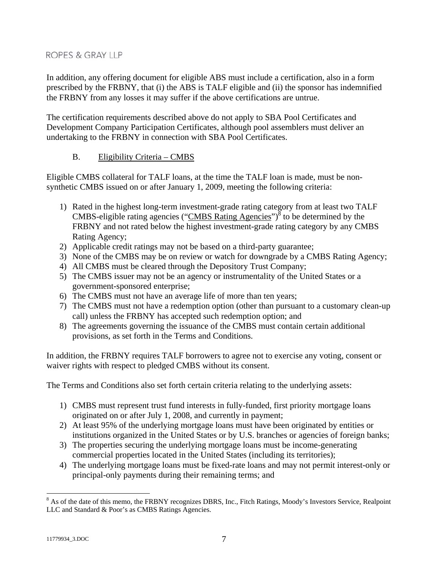In addition, any offering document for eligible ABS must include a certification, also in a form prescribed by the FRBNY, that (i) the ABS is TALF eligible and (ii) the sponsor has indemnified the FRBNY from any losses it may suffer if the above certifications are untrue.

The certification requirements described above do not apply to SBA Pool Certificates and Development Company Participation Certificates, although pool assemblers must deliver an undertaking to the FRBNY in connection with SBA Pool Certificates.

## B. Eligibility Criteria – CMBS

Eligible CMBS collateral for TALF loans, at the time the TALF loan is made, must be nonsynthetic CMBS issued on or after January 1, 2009, meeting the following criteria:

- 1) Rated in the highest long-term investment-grade rating category from at least two TALF CMBS-eligible rating agencies ("CMBS Rating Agencies")<sup>8</sup> to be determined by the FRBNY and not rated below the highest investment-grade rating category by any CMBS Rating Agency;
- 2) Applicable credit ratings may not be based on a third-party guarantee;
- 3) None of the CMBS may be on review or watch for downgrade by a CMBS Rating Agency;
- 4) All CMBS must be cleared through the Depository Trust Company;
- 5) The CMBS issuer may not be an agency or instrumentality of the United States or a government-sponsored enterprise;
- 6) The CMBS must not have an average life of more than ten years;
- 7) The CMBS must not have a redemption option (other than pursuant to a customary clean-up call) unless the FRBNY has accepted such redemption option; and
- 8) The agreements governing the issuance of the CMBS must contain certain additional provisions, as set forth in the Terms and Conditions.

In addition, the FRBNY requires TALF borrowers to agree not to exercise any voting, consent or waiver rights with respect to pledged CMBS without its consent.

The Terms and Conditions also set forth certain criteria relating to the underlying assets:

- 1) CMBS must represent trust fund interests in fully-funded, first priority mortgage loans originated on or after July 1, 2008, and currently in payment;
- 2) At least 95% of the underlying mortgage loans must have been originated by entities or institutions organized in the United States or by U.S. branches or agencies of foreign banks;
- 3) The properties securing the underlying mortgage loans must be income-generating commercial properties located in the United States (including its territories);
- 4) The underlying mortgage loans must be fixed-rate loans and may not permit interest-only or principal-only payments during their remaining terms; and

<sup>&</sup>lt;sup>8</sup> As of the date of this memo, the FRBNY recognizes DBRS, Inc., Fitch Ratings, Moody's Investors Service, Realpoint LLC and Standard & Poor's as CMBS Ratings Agencies.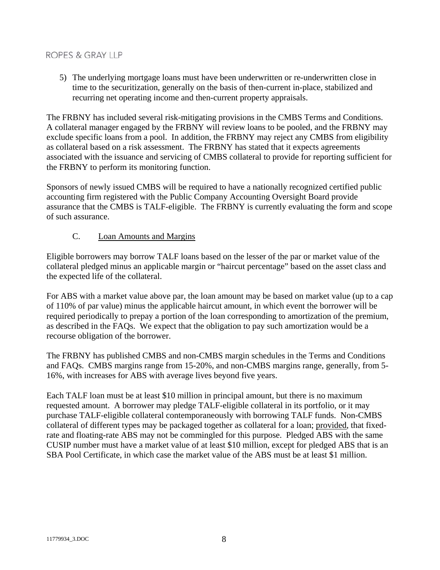5) The underlying mortgage loans must have been underwritten or re-underwritten close in time to the securitization, generally on the basis of then-current in-place, stabilized and recurring net operating income and then-current property appraisals.

The FRBNY has included several risk-mitigating provisions in the CMBS Terms and Conditions. A collateral manager engaged by the FRBNY will review loans to be pooled, and the FRBNY may exclude specific loans from a pool. In addition, the FRBNY may reject any CMBS from eligibility as collateral based on a risk assessment. The FRBNY has stated that it expects agreements associated with the issuance and servicing of CMBS collateral to provide for reporting sufficient for the FRBNY to perform its monitoring function.

Sponsors of newly issued CMBS will be required to have a nationally recognized certified public accounting firm registered with the Public Company Accounting Oversight Board provide assurance that the CMBS is TALF-eligible. The FRBNY is currently evaluating the form and scope of such assurance.

#### C. Loan Amounts and Margins

Eligible borrowers may borrow TALF loans based on the lesser of the par or market value of the collateral pledged minus an applicable margin or "haircut percentage" based on the asset class and the expected life of the collateral.

For ABS with a market value above par, the loan amount may be based on market value (up to a cap of 110% of par value) minus the applicable haircut amount, in which event the borrower will be required periodically to prepay a portion of the loan corresponding to amortization of the premium, as described in the FAQs. We expect that the obligation to pay such amortization would be a recourse obligation of the borrower.

The FRBNY has published CMBS and non-CMBS margin schedules in the Terms and Conditions and FAQs. CMBS margins range from 15-20%, and non-CMBS margins range, generally, from 5- 16%, with increases for ABS with average lives beyond five years.

Each TALF loan must be at least \$10 million in principal amount, but there is no maximum requested amount. A borrower may pledge TALF-eligible collateral in its portfolio, or it may purchase TALF-eligible collateral contemporaneously with borrowing TALF funds. Non-CMBS collateral of different types may be packaged together as collateral for a loan; provided, that fixedrate and floating-rate ABS may not be commingled for this purpose. Pledged ABS with the same CUSIP number must have a market value of at least \$10 million, except for pledged ABS that is an SBA Pool Certificate, in which case the market value of the ABS must be at least \$1 million.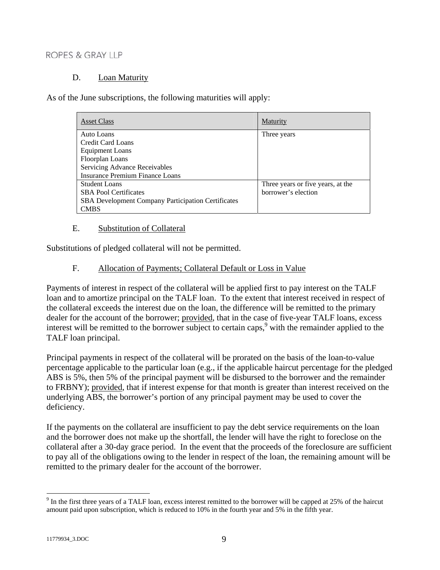#### D. Loan Maturity

As of the June subscriptions, the following maturities will apply:

| <b>Asset Class</b>                                        | Maturity                          |
|-----------------------------------------------------------|-----------------------------------|
| Auto Loans                                                | Three years                       |
| Credit Card Loans                                         |                                   |
| <b>Equipment Loans</b>                                    |                                   |
| Floorplan Loans                                           |                                   |
| Servicing Advance Receivables                             |                                   |
| Insurance Premium Finance Loans                           |                                   |
| <b>Student Loans</b>                                      | Three years or five years, at the |
| <b>SBA Pool Certificates</b>                              | borrower's election               |
| <b>SBA</b> Development Company Participation Certificates |                                   |
| <b>CMBS</b>                                               |                                   |

#### E. Substitution of Collateral

Substitutions of pledged collateral will not be permitted.

#### F. Allocation of Payments; Collateral Default or Loss in Value

Payments of interest in respect of the collateral will be applied first to pay interest on the TALF loan and to amortize principal on the TALF loan. To the extent that interest received in respect of the collateral exceeds the interest due on the loan, the difference will be remitted to the primary dealer for the account of the borrower; provided, that in the case of five-year TALF loans, excess interest will be remitted to the borrower subject to certain caps,  $9$  with the remainder applied to the TALF loan principal.

Principal payments in respect of the collateral will be prorated on the basis of the loan-to-value percentage applicable to the particular loan (e.g., if the applicable haircut percentage for the pledged ABS is 5%, then 5% of the principal payment will be disbursed to the borrower and the remainder to FRBNY); provided, that if interest expense for that month is greater than interest received on the underlying ABS, the borrower's portion of any principal payment may be used to cover the deficiency.

If the payments on the collateral are insufficient to pay the debt service requirements on the loan and the borrower does not make up the shortfall, the lender will have the right to foreclose on the collateral after a 30-day grace period. In the event that the proceeds of the foreclosure are sufficient to pay all of the obligations owing to the lender in respect of the loan, the remaining amount will be remitted to the primary dealer for the account of the borrower.

 $9$  In the first three years of a TALF loan, excess interest remitted to the borrower will be capped at 25% of the haircut amount paid upon subscription, which is reduced to 10% in the fourth year and 5% in the fifth year.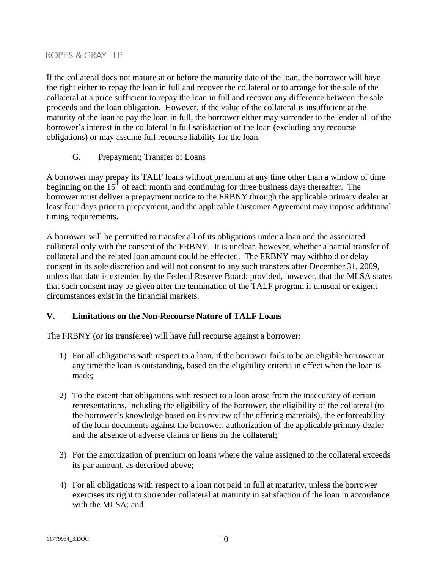If the collateral does not mature at or before the maturity date of the loan, the borrower will have the right either to repay the loan in full and recover the collateral or to arrange for the sale of the collateral at a price sufficient to repay the loan in full and recover any difference between the sale proceeds and the loan obligation. However, if the value of the collateral is insufficient at the maturity of the loan to pay the loan in full, the borrower either may surrender to the lender all of the borrower's interest in the collateral in full satisfaction of the loan (excluding any recourse obligations) or may assume full recourse liability for the loan.

## G. Prepayment; Transfer of Loans

A borrower may prepay its TALF loans without premium at any time other than a window of time beginning on the  $15<sup>th</sup>$  of each month and continuing for three business days thereafter. The borrower must deliver a prepayment notice to the FRBNY through the applicable primary dealer at least four days prior to prepayment, and the applicable Customer Agreement may impose additional timing requirements.

A borrower will be permitted to transfer all of its obligations under a loan and the associated collateral only with the consent of the FRBNY. It is unclear, however, whether a partial transfer of collateral and the related loan amount could be effected. The FRBNY may withhold or delay consent in its sole discretion and will not consent to any such transfers after December 31, 2009, unless that date is extended by the Federal Reserve Board; provided, however, that the MLSA states that such consent may be given after the termination of the TALF program if unusual or exigent circumstances exist in the financial markets.

# **V. Limitations on the Non-Recourse Nature of TALF Loans**

The FRBNY (or its transferee) will have full recourse against a borrower:

- 1) For all obligations with respect to a loan, if the borrower fails to be an eligible borrower at any time the loan is outstanding, based on the eligibility criteria in effect when the loan is made;
- 2) To the extent that obligations with respect to a loan arose from the inaccuracy of certain representations, including the eligibility of the borrower, the eligibility of the collateral (to the borrower's knowledge based on its review of the offering materials), the enforceability of the loan documents against the borrower, authorization of the applicable primary dealer and the absence of adverse claims or liens on the collateral;
- 3) For the amortization of premium on loans where the value assigned to the collateral exceeds its par amount, as described above;
- 4) For all obligations with respect to a loan not paid in full at maturity, unless the borrower exercises its right to surrender collateral at maturity in satisfaction of the loan in accordance with the MLSA; and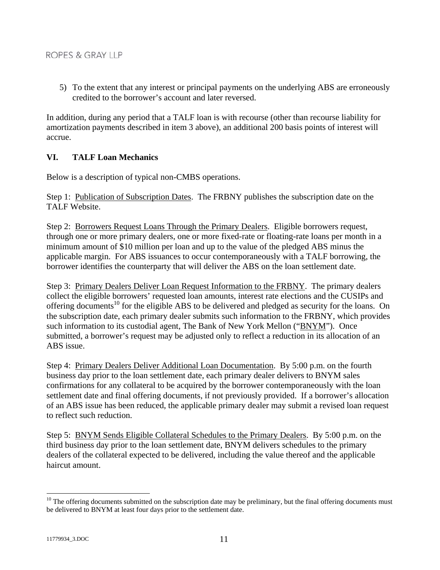5) To the extent that any interest or principal payments on the underlying ABS are erroneously credited to the borrower's account and later reversed.

In addition, during any period that a TALF loan is with recourse (other than recourse liability for amortization payments described in item 3 above), an additional 200 basis points of interest will accrue.

#### **VI. TALF Loan Mechanics**

Below is a description of typical non-CMBS operations.

Step 1: Publication of Subscription Dates. The FRBNY publishes the subscription date on the TALF Website.

Step 2: Borrowers Request Loans Through the Primary Dealers. Eligible borrowers request, through one or more primary dealers, one or more fixed-rate or floating-rate loans per month in a minimum amount of \$10 million per loan and up to the value of the pledged ABS minus the applicable margin. For ABS issuances to occur contemporaneously with a TALF borrowing, the borrower identifies the counterparty that will deliver the ABS on the loan settlement date.

Step 3: Primary Dealers Deliver Loan Request Information to the FRBNY. The primary dealers collect the eligible borrowers' requested loan amounts, interest rate elections and the CUSIPs and offering documents<sup>10</sup> for the eligible ABS to be delivered and pledged as security for the loans. On the subscription date, each primary dealer submits such information to the FRBNY, which provides such information to its custodial agent, The Bank of New York Mellon ("BNYM"). Once submitted, a borrower's request may be adjusted only to reflect a reduction in its allocation of an ABS issue.

Step 4: Primary Dealers Deliver Additional Loan Documentation. By 5:00 p.m. on the fourth business day prior to the loan settlement date, each primary dealer delivers to BNYM sales confirmations for any collateral to be acquired by the borrower contemporaneously with the loan settlement date and final offering documents, if not previously provided. If a borrower's allocation of an ABS issue has been reduced, the applicable primary dealer may submit a revised loan request to reflect such reduction.

Step 5: BNYM Sends Eligible Collateral Schedules to the Primary Dealers. By 5:00 p.m. on the third business day prior to the loan settlement date, BNYM delivers schedules to the primary dealers of the collateral expected to be delivered, including the value thereof and the applicable haircut amount.

 $10$  The offering documents submitted on the subscription date may be preliminary, but the final offering documents must be delivered to BNYM at least four days prior to the settlement date.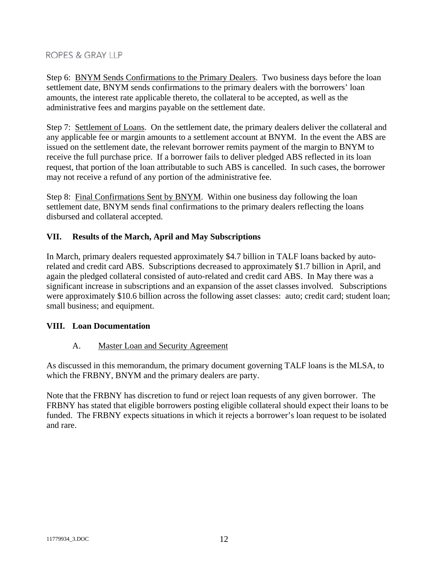Step 6: BNYM Sends Confirmations to the Primary Dealers. Two business days before the loan settlement date, BNYM sends confirmations to the primary dealers with the borrowers' loan amounts, the interest rate applicable thereto, the collateral to be accepted, as well as the administrative fees and margins payable on the settlement date.

Step 7: Settlement of Loans. On the settlement date, the primary dealers deliver the collateral and any applicable fee or margin amounts to a settlement account at BNYM. In the event the ABS are issued on the settlement date, the relevant borrower remits payment of the margin to BNYM to receive the full purchase price. If a borrower fails to deliver pledged ABS reflected in its loan request, that portion of the loan attributable to such ABS is cancelled. In such cases, the borrower may not receive a refund of any portion of the administrative fee.

Step 8: Final Confirmations Sent by BNYM. Within one business day following the loan settlement date, BNYM sends final confirmations to the primary dealers reflecting the loans disbursed and collateral accepted.

## **VII. Results of the March, April and May Subscriptions**

In March, primary dealers requested approximately \$4.7 billion in TALF loans backed by autorelated and credit card ABS. Subscriptions decreased to approximately \$1.7 billion in April, and again the pledged collateral consisted of auto-related and credit card ABS. In May there was a significant increase in subscriptions and an expansion of the asset classes involved. Subscriptions were approximately \$10.6 billion across the following asset classes: auto; credit card; student loan; small business; and equipment.

## **VIII. Loan Documentation**

## A. Master Loan and Security Agreement

As discussed in this memorandum, the primary document governing TALF loans is the MLSA, to which the FRBNY, BNYM and the primary dealers are party.

Note that the FRBNY has discretion to fund or reject loan requests of any given borrower. The FRBNY has stated that eligible borrowers posting eligible collateral should expect their loans to be funded. The FRBNY expects situations in which it rejects a borrower's loan request to be isolated and rare.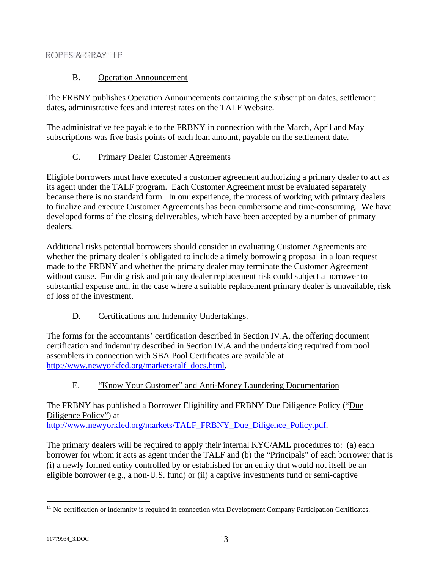## B. Operation Announcement

The FRBNY publishes Operation Announcements containing the subscription dates, settlement dates, administrative fees and interest rates on the TALF Website.

The administrative fee payable to the FRBNY in connection with the March, April and May subscriptions was five basis points of each loan amount, payable on the settlement date.

## C. Primary Dealer Customer Agreements

Eligible borrowers must have executed a customer agreement authorizing a primary dealer to act as its agent under the TALF program. Each Customer Agreement must be evaluated separately because there is no standard form. In our experience, the process of working with primary dealers to finalize and execute Customer Agreements has been cumbersome and time-consuming. We have developed forms of the closing deliverables, which have been accepted by a number of primary dealers.

Additional risks potential borrowers should consider in evaluating Customer Agreements are whether the primary dealer is obligated to include a timely borrowing proposal in a loan request made to the FRBNY and whether the primary dealer may terminate the Customer Agreement without cause. Funding risk and primary dealer replacement risk could subject a borrower to substantial expense and, in the case where a suitable replacement primary dealer is unavailable, risk of loss of the investment.

D. Certifications and Indemnity Undertakings.

The forms for the accountants' certification described in Section IV.A, the offering document certification and indemnity described in Section IV.A and the undertaking required from pool assemblers in connection with SBA Pool Certificates are available at [http://www.newyorkfed.org/markets/talf\\_docs.html.](http://www.newyorkfed.org/markets/talf_docs.html)<sup>11</sup>

# E. "Know Your Customer" and Anti-Money Laundering Documentation

The FRBNY has published a Borrower Eligibility and FRBNY Due Diligence Policy ("Due Diligence Policy") at http://www.newyorkfed.org/markets/TALF\_FRBNY\_Due\_Diligence\_Policy.pdf.

The primary dealers will be required to apply their internal KYC/AML procedures to: (a) each borrower for whom it acts as agent under the TALF and (b) the "Principals" of each borrower that is (i) a newly formed entity controlled by or established for an entity that would not itself be an eligible borrower (e.g., a non-U.S. fund) or (ii) a captive investments fund or semi-captive

 $\overline{a}$  $11$  No certification or indemnity is required in connection with Development Company Participation Certificates.